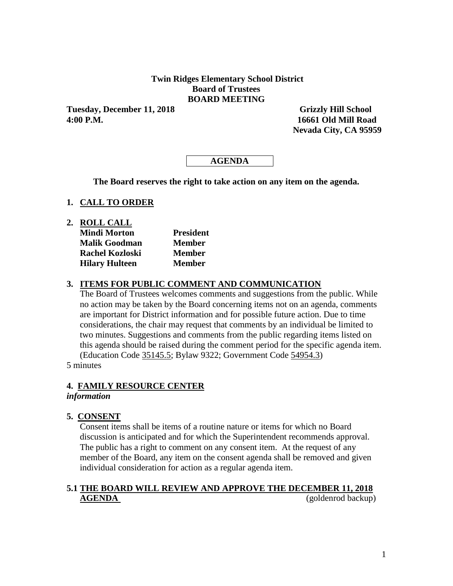## **Twin Ridges Elementary School District Board of Trustees BOARD MEETING**

Tuesday, December 11, 2018 Grizzly Hill School **4:00 P.M. 16661 Old Mill Road** 

 **Nevada City, CA 95959**

# **AGENDA**

**The Board reserves the right to take action on any item on the agenda.**

### **1. CALL TO ORDER**

**2. ROLL CALL**

| <b>Mindi Morton</b>    | <b>President</b> |
|------------------------|------------------|
| <b>Malik Goodman</b>   | <b>Member</b>    |
| <b>Rachel Kozloski</b> | <b>Member</b>    |
| <b>Hilary Hulteen</b>  | <b>Member</b>    |

#### **3. ITEMS FOR PUBLIC COMMENT AND COMMUNICATION**

The Board of Trustees welcomes comments and suggestions from the public. While no action may be taken by the Board concerning items not on an agenda, comments are important for District information and for possible future action. Due to time considerations, the chair may request that comments by an individual be limited to two minutes. Suggestions and comments from the public regarding items listed on this agenda should be raised during the comment period for the specific agenda item. (Education Code 35145.5; Bylaw 9322; Government Code 54954.3)

5 minutes

## **4. FAMILY RESOURCE CENTER**

## *information*

## **5. CONSENT**

Consent items shall be items of a routine nature or items for which no Board discussion is anticipated and for which the Superintendent recommends approval. The public has a right to comment on any consent item. At the request of any member of the Board, any item on the consent agenda shall be removed and given individual consideration for action as a regular agenda item.

# **5.1 THE BOARD WILL REVIEW AND APPROVE THE DECEMBER 11, 2018 AGENDA** (goldenrod backup)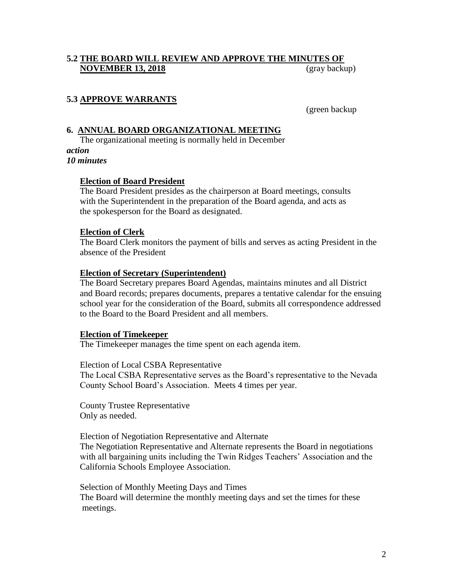# **5.2 THE BOARD WILL REVIEW AND APPROVE THE MINUTES OF NOVEMBER 13, 2018** (gray backup)

# **5.3 APPROVE WARRANTS**

(green backup

## **6. ANNUAL BOARD ORGANIZATIONAL MEETING**

The organizational meeting is normally held in December *action*

*10 minutes*

### **Election of Board President**

The Board President presides as the chairperson at Board meetings, consults with the Superintendent in the preparation of the Board agenda, and acts as the spokesperson for the Board as designated.

### **Election of Clerk**

The Board Clerk monitors the payment of bills and serves as acting President in the absence of the President

### **Election of Secretary (Superintendent)**

The Board Secretary prepares Board Agendas, maintains minutes and all District and Board records; prepares documents, prepares a tentative calendar for the ensuing school year for the consideration of the Board, submits all correspondence addressed to the Board to the Board President and all members.

#### **Election of Timekeeper**

The Timekeeper manages the time spent on each agenda item.

#### Election of Local CSBA Representative

The Local CSBA Representative serves as the Board's representative to the Nevada County School Board's Association. Meets 4 times per year.

County Trustee Representative Only as needed.

Election of Negotiation Representative and Alternate

The Negotiation Representative and Alternate represents the Board in negotiations with all bargaining units including the Twin Ridges Teachers' Association and the California Schools Employee Association.

Selection of Monthly Meeting Days and Times The Board will determine the monthly meeting days and set the times for these meetings.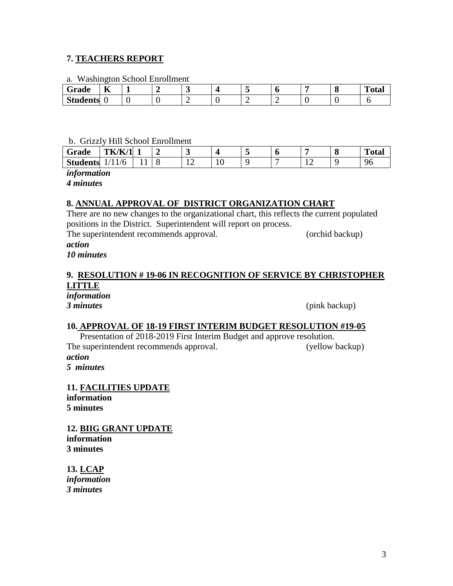## **7. TEACHERS REPORT**

a. Washington School Enrollment

| $\sim$<br>Grade | $-$<br><br>. .<br>T7 | - | $\sim$ |  | л. | $\epsilon$<br>O | m<br>'^ተጣ<br>vial |
|-----------------|----------------------|---|--------|--|----|-----------------|-------------------|
| <b>Students</b> |                      |   | -      |  |    |                 |                   |

### b. Grizzly Hill School Enrollment

| Grade           | TK/K/<br>$\vert$ 1 |     |           |   | u |   | O | <u>ти на п</u><br>Fotal |
|-----------------|--------------------|-----|-----------|---|---|---|---|-------------------------|
| <b>Students</b> | Ό                  | . . | <b>TH</b> | ◡ | - | ∸ |   | чr<br>◡                 |

*information*

*4 minutes*

# **8. ANNUAL APPROVAL OF DISTRICT ORGANIZATION CHART**

There are no new changes to the organizational chart, this reflects the current populated positions in the District. Superintendent will report on process.

The superintendent recommends approval. (orchid backup)

#### *action 10 minutes*

# **9. RESOLUTION # 19-06 IN RECOGNITION OF SERVICE BY CHRISTOPHER LITTLE**

*information*

*3 minutes* (pink backup)

## **10. APPROVAL OF 18-19 FIRST INTERIM BUDGET RESOLUTION #19-05**

Presentation of 2018-2019 First Interim Budget and approve resolution. The superintendent recommends approval. (yellow backup) *action*

*5 minutes*

**11. FACILITIES UPDATE information 5 minutes**

**12. BIIG GRANT UPDATE information 3 minutes**

**13. LCAP** *information 3 minutes*